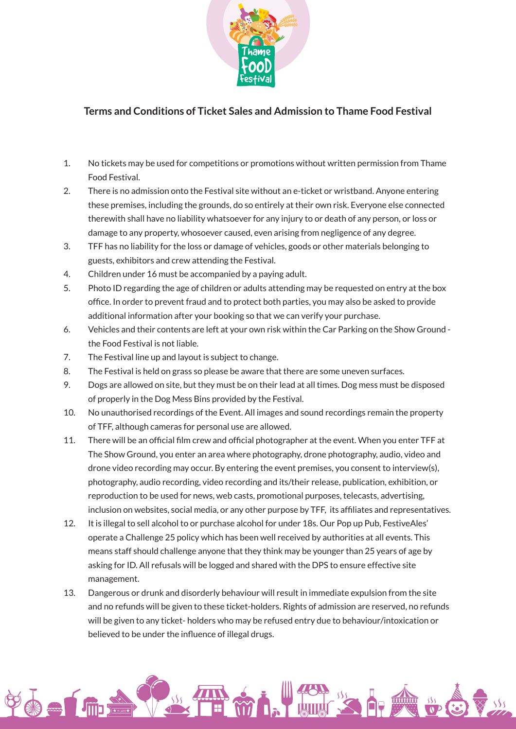

## **Terms and Conditions of Ticket Sales and Admission to Thame Food Festival**

- 1. No tickets may be used for competitions or promotions without written permission from Thame Food Festival.
- 2. There is no admission onto the Festival site without an e-ticket or wristband. Anyone entering these premises, including the grounds, do so entirely at their own risk. Everyone else connected therewith shall have no liability whatsoever for any injury to or death of any person, or loss or damage to any property, whosoever caused, even arising from negligence of any degree.
- 3. TFF has no liability for the loss or damage of vehicles, goods or other materials belonging to guests, exhibitors and crew attending the Festival.
- 4. Children under 16 must be accompanied by a paying adult.
- 5. Photo ID regarding the age of children or adults attending may be requested on entry at the box office. In order to prevent fraud and to protect both parties, you may also be asked to provide additional information after your booking so that we can verify your purchase.
- 6. Vehicles and their contents are left at your own risk within the Car Parking on the Show Ground the Food Festival is not liable.
- 7. The Festival line up and layout is subject to change.
- 8. The Festival is held on grass so please be aware that there are some uneven surfaces.
- 9. Dogs are allowed on site, but they must be on their lead at all times. Dog mess must be disposed of properly in the Dog Mess Bins provided by the Festival.
- 10. No unauthorised recordings of the Event. All images and sound recordings remain the property of TFF, although cameras for personal use are allowed.
- 11. There will be an official film crew and official photographer at the event. When you enter TFF at The Show Ground, you enter an area where photography, drone photography, audio, video and drone video recording may occur. By entering the event premises, you consent to interview(s), photography, audio recording, video recording and its/their release, publication, exhibition, or reproduction to be used for news, web casts, promotional purposes, telecasts, advertising, inclusion on websites, social media, or any other purpose by TFF, its affiliates and representatives.
- 12. It is illegal to sell alcohol to or purchase alcohol for under 18s. Our Pop up Pub, FestiveAles' operate a Challenge 25 policy which has been well received by authorities at all events. This means staff should challenge anyone that they think may be younger than 25 years of age by asking for ID. All refusals will be logged and shared with the DPS to ensure effective site management.
- 13. Dangerous or drunk and disorderly behaviour will result in immediate expulsion from the site and no refunds will be given to these ticket-holders. Rights of admission are reserved, no refunds will be given to any ticket- holders who may be refused entry due to behaviour/intoxication or believed to be under the influence of illegal drugs.